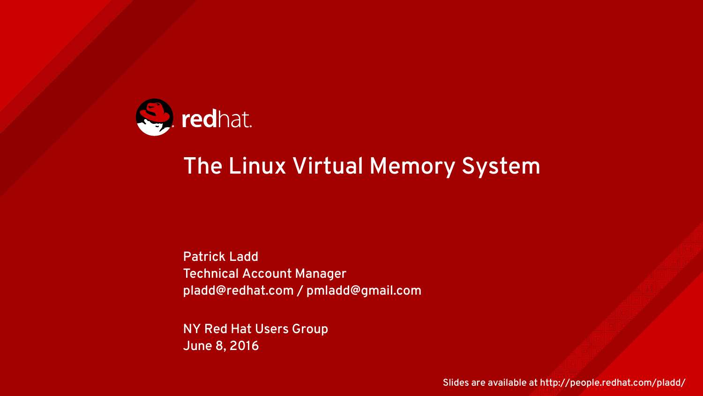

#### The Linux Virtual Memory System

Patrick Ladd Technical Account Manager pladd@redhat.com / pmladd@gmail.com

NY Red Hat Users Group June 8, 2016

Slides are available at http://people.redhat.com/pladd/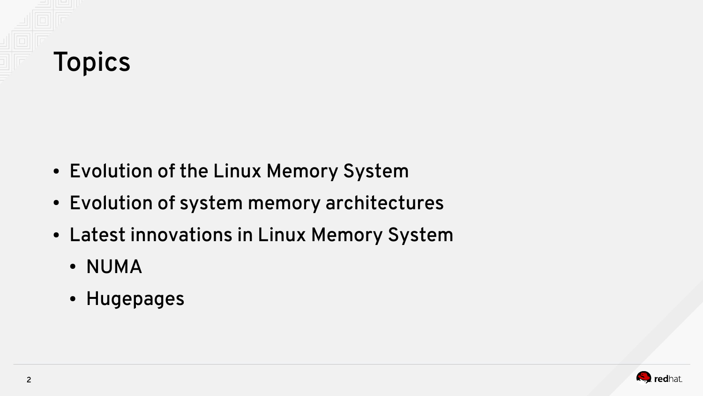

- Evolution of the Linux Memory System
- Evolution of system memory architectures
- Latest innovations in Linux Memory System
	- NUMA
	- Hugepages

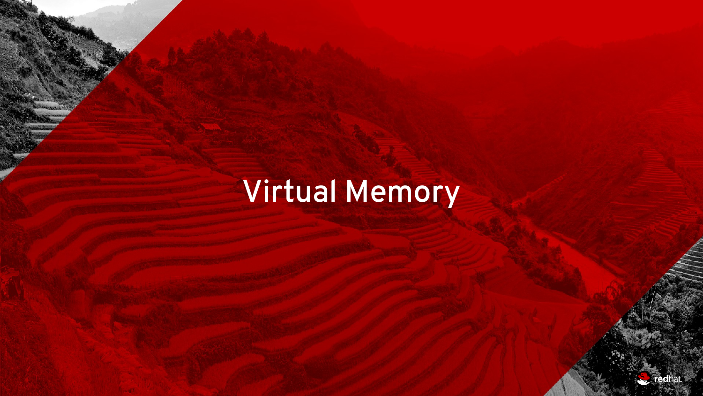# Virtual Memory

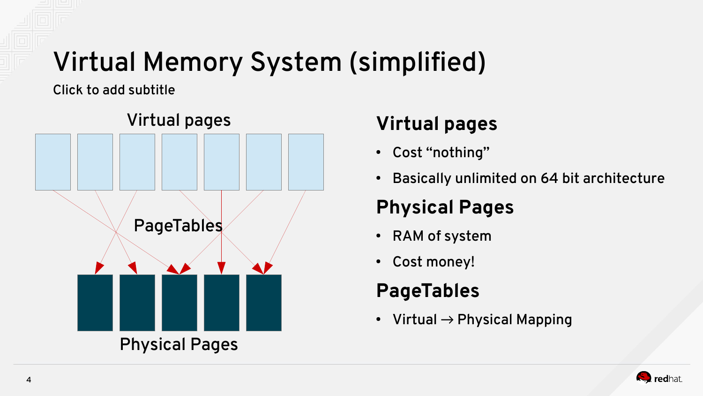## Virtual Memory System (simplified)

Click to add subtitle



#### **Virtual pages**

- Cost "nothing"
- Basically unlimited on 64 bit architecture

#### **Physical Pages**

- RAM of system
- Cost money!

#### **PageTables**

• Virtual  $\rightarrow$  Physical Mapping

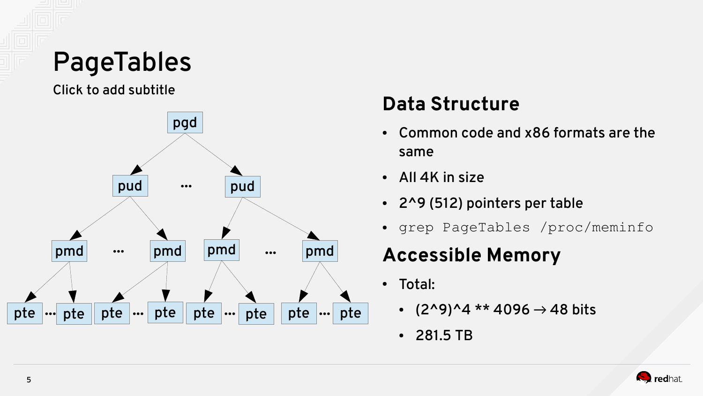### PageTables

Click to add subtitle



#### **Data Structure**

- Common code and x86 formats are the same
- $\cdot$  All 4K in size
- $\cdot$  2^9 (512) pointers per table
- grep PageTables /proc/meminfo

#### **Accessible Memory**

- Total:
	- $(2^9)^44$  \*\* 4096  $\rightarrow$  48 bits
	- 281.5 TB

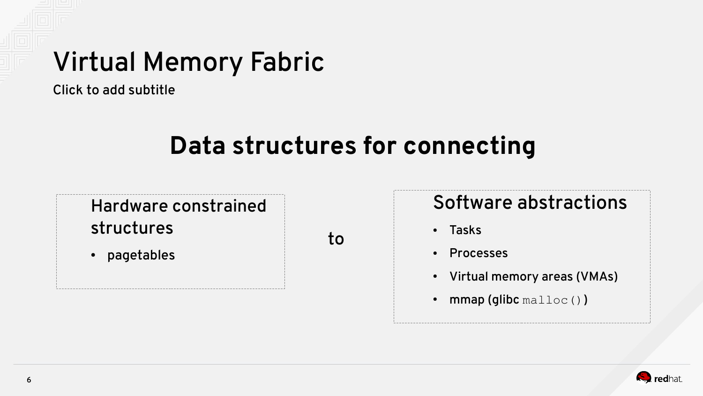#### Virtual Memory Fabric

Click to add subtitle

#### **Data structures for connecting**

Hardware constrained structures

• pagetables

to

#### Software abstractions

- Tasks
- Processes
- Virtual memory areas (VMAs)
- $mmap$  (glibc malloc())

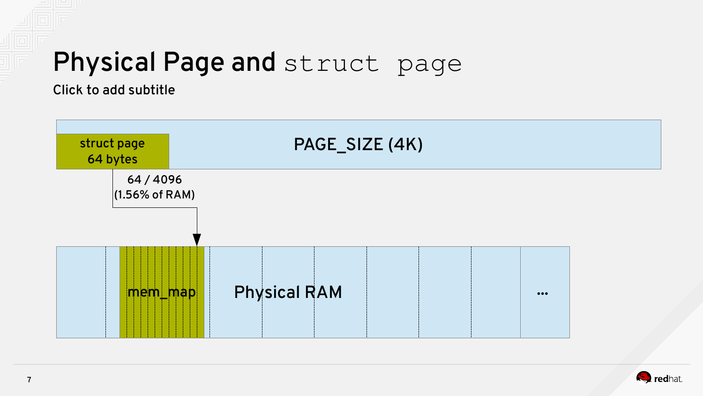#### Physical Page and struct page

Click to add subtitle



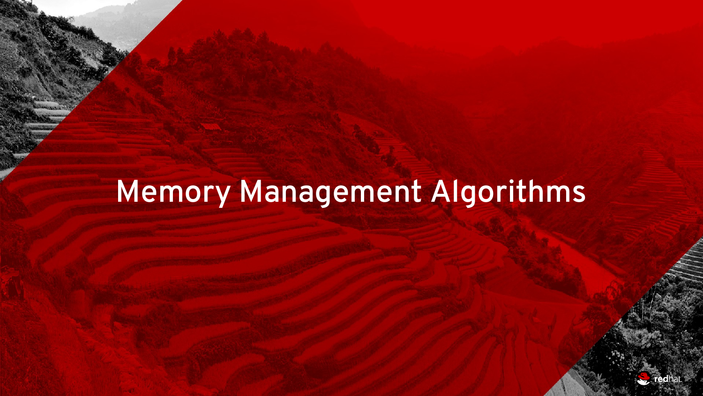## Memory Management Algorithms

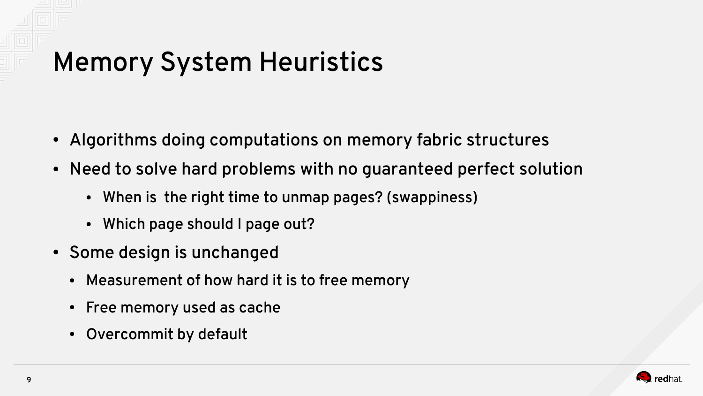## Memory System Heuristics

- Algorithms doing computations on memory fabric structures
- Need to solve hard problems with no guaranteed perfect solution
	- When is the right time to unmap pages? (swappiness)
	- Which page should I page out?
- Some design is unchanged
	- Measurement of how hard it is to free memory
	- Free memory used as cache
	- Overcommit by default

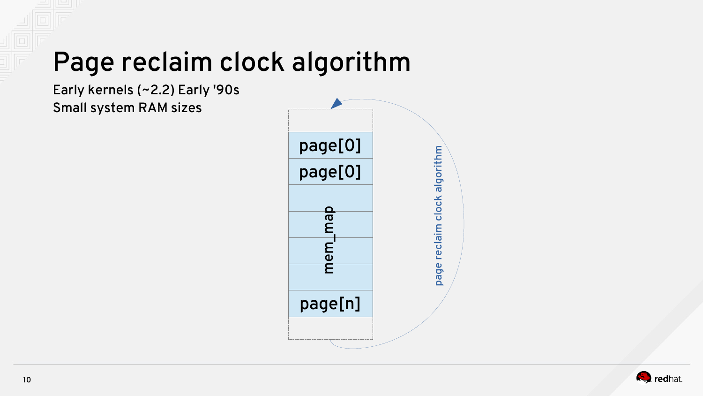### Page reclaim clock algorithm

Early kernels (~2.2) Early '90s Small system RAM sizes



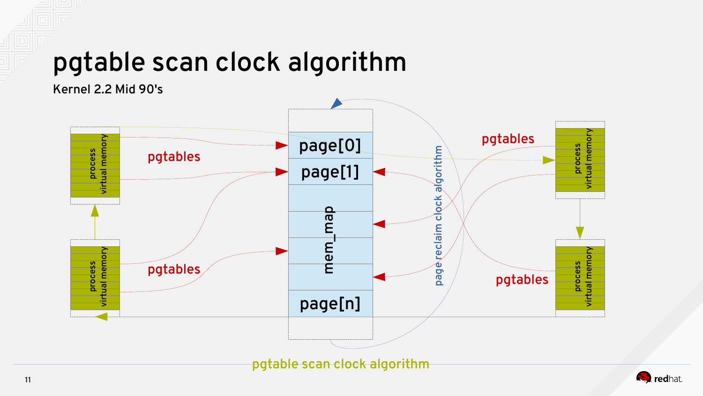#### pgtable scan clock algorithm

Kernel 2.2 Mid 90's



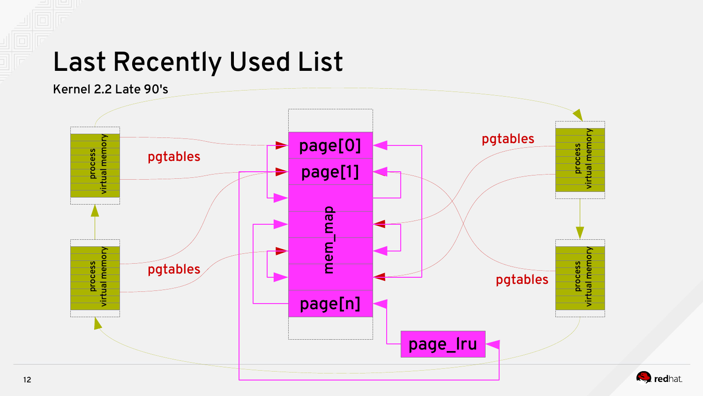#### Last Recently Used List



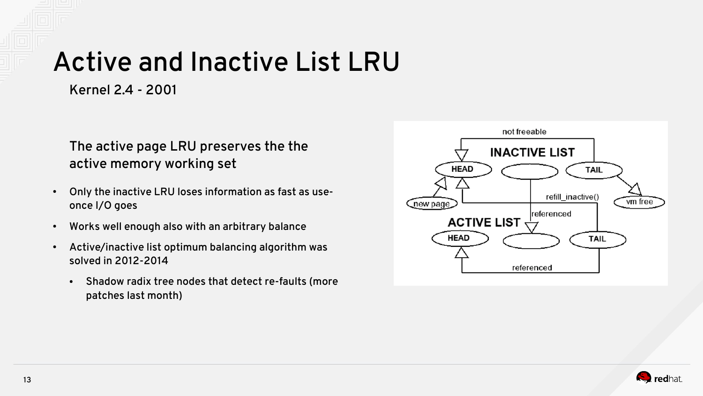#### Active and Inactive List LRU

Kernel 2.4 - 2001

#### The active page LRU preserves the the active memory working set

- Only the inactive LRU loses information as fast as useonce I/O goes
- Works well enough also with an arbitrary balance
- Active/inactive list optimum balancing algorithm was solved in 2012-2014
	- Shadow radix tree nodes that detect re-faults (more patches last month)



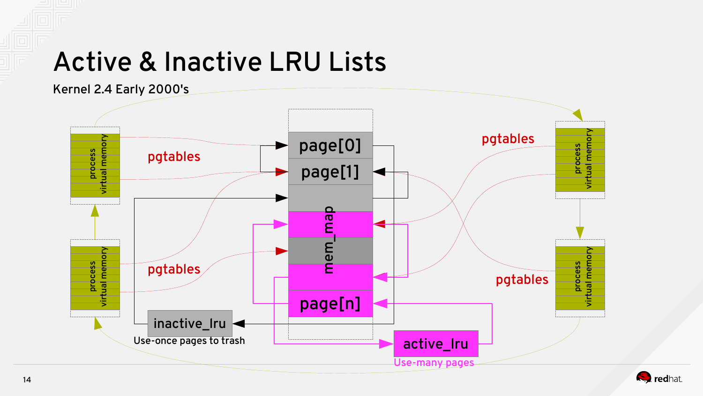#### Active & Inactive LRU Lists



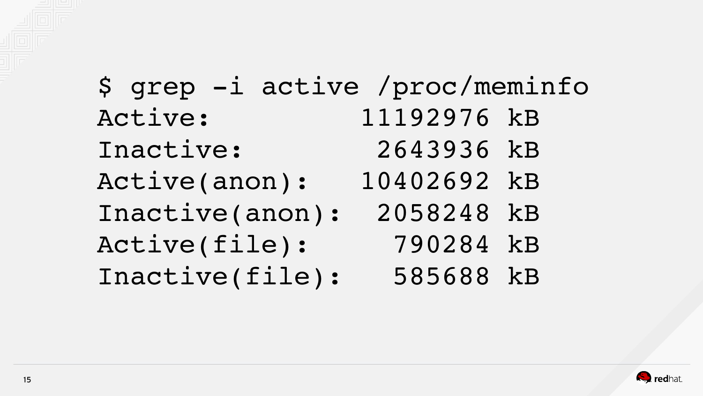

## \$ grep -i active /proc/meminfo Active: 11192976 kB Inactive: 2643936 kB Active(anon): 10402692 kB Inactive(anon): 2058248 kB Active(file): 790284 kB Inactive(file): 585688 kB

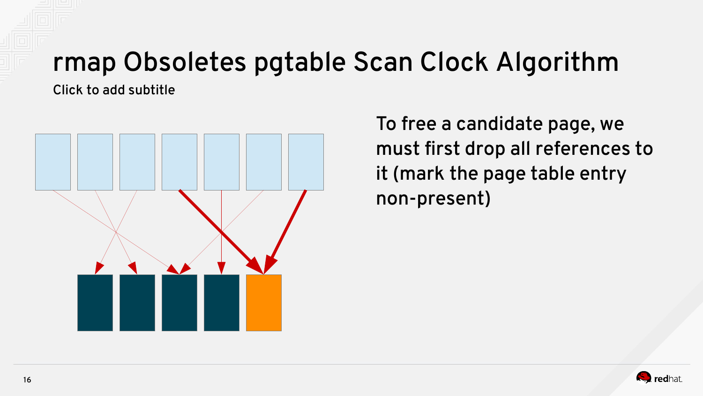## rmap Obsoletes pgtable Scan Clock Algorithm

Click to add subtitle



To free a candidate page, we must first drop all references to it (mark the page table entry non-present)

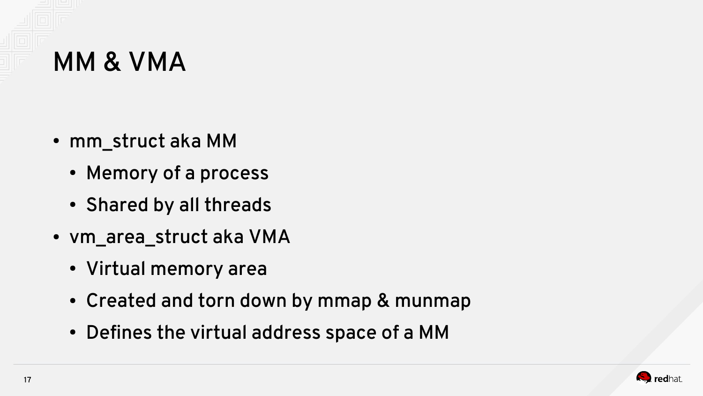

- mm\_struct aka MM
	- Memory of a process
	- Shared by all threads
- vm\_area\_struct aka VMA
	- Virtual memory area
	- Created and torn down by mmap & munmap
	- Defines the virtual address space of a MM

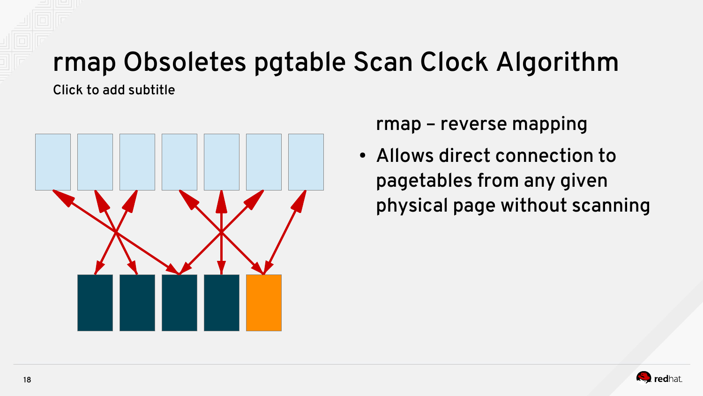## rmap Obsoletes pgtable Scan Clock Algorithm

Click to add subtitle



rmap – reverse mapping

• Allows direct connection to pagetables from any given physical page without scanning

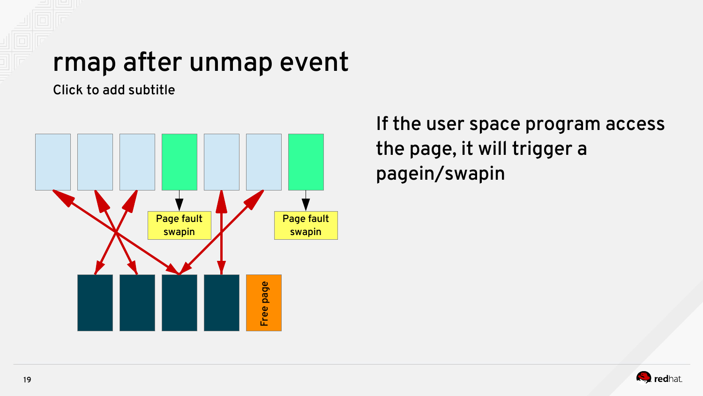#### rmap after unmap event

Click to add subtitle



If the user space program access the page, it will trigger a pagein/swapin

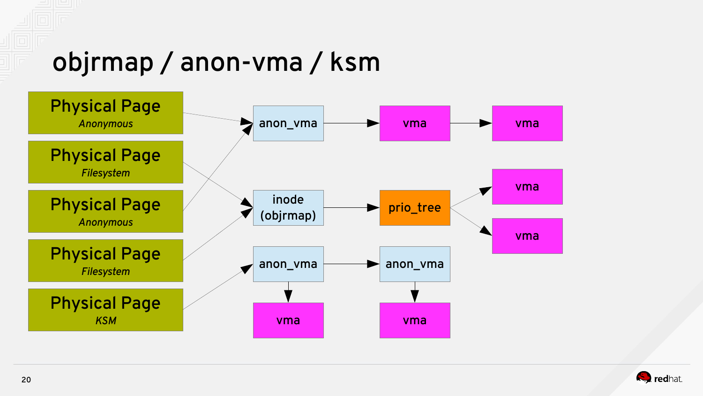#### objrmap / anon-vma / ksm



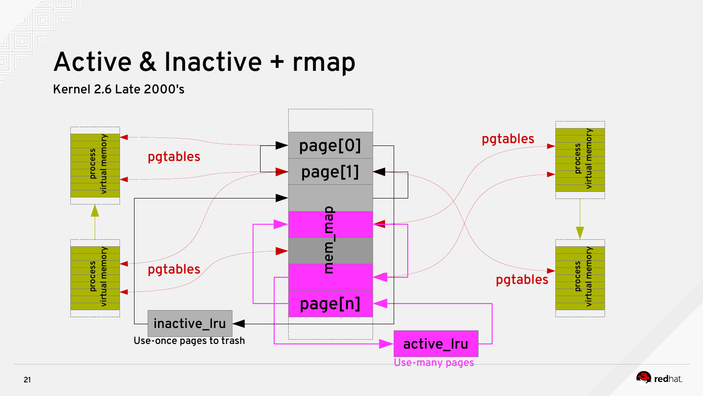#### Active & Inactive + rmap

Kernel 2.6 Late 2000's



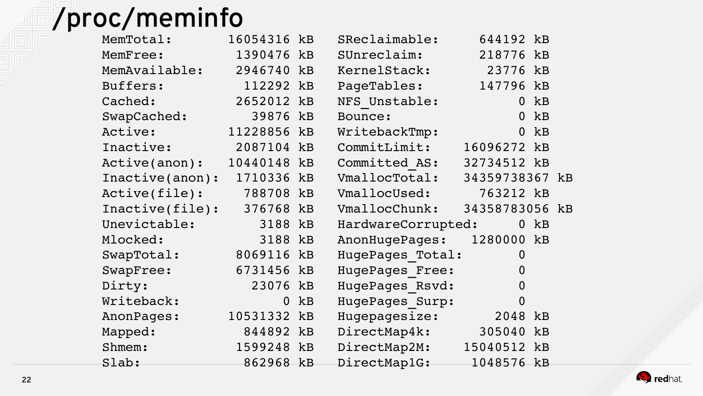## /proc/meminfo

| MemTotal:       | 16054316    | kB | SReclaimable:      | 644192 kB      |    |  |
|-----------------|-------------|----|--------------------|----------------|----|--|
| MemFree:        | 1390476 kB  |    | SUnreclaim:        | 218776 kB      |    |  |
| MemAvailable:   | 2946740     | kB | KernelStack:       | 23776          | kB |  |
| Buffers:        | 112292 kB   |    | PageTables:        | 147796 kB      |    |  |
| Cached:         | 2652012 kB  |    | NFS Unstable:      | $\overline{0}$ | kB |  |
| SwapCached:     | 39876       | kB | Bounce:            | $\overline{0}$ | kB |  |
| Active:         | 11228856 kB |    | WritebackTmp:      | $\overline{0}$ | kB |  |
| Inactive:       | 2087104 kB  |    | CommitLimit:       | 16096272 kB    |    |  |
| Active(anon):   | 10440148 kB |    | Committed AS:      | 32734512 kB    |    |  |
| Inactive(anon): | 1710336     | kB | VmallocTotal:      | 34359738367 kB |    |  |
| Active(file):   | 788708 kB   |    | VmallocUsed:       | 763212 kB      |    |  |
| Inactive(file): | 376768 kB   |    | VmallocChunk:      | 34358783056 kB |    |  |
| Unevictable:    | 3188        | kB | HardwareCorrupted: | 0              | kB |  |
| Mlocked:        | 3188 kB     |    | AnonHugePages:     | 1280000 kB     |    |  |
| SwapTotal:      | 8069116     | kB | HugePages Total:   | 0              |    |  |
| SwapFree:       | 6731456 kB  |    | HugePages Free:    | 0              |    |  |
| Dirty:          | 23076 kB    |    | HugePages Rsvd:    | $\overline{0}$ |    |  |
| Writeback:      | $\mathbf 0$ | kB | HugePages Surp:    | 0              |    |  |
| AnonPages:      | 10531332 kB |    | Hugepagesize:      | 2048           | kB |  |
| Mapped:         | 844892 kB   |    | DirectMap4k:       | 305040         | kB |  |
| Shmem:          | 1599248 kB  |    | DirectMap2M:       | 15040512 kB    |    |  |
| Slab:           | 862968 kB   |    | DirectMap1G:       | 1048576 kB     |    |  |

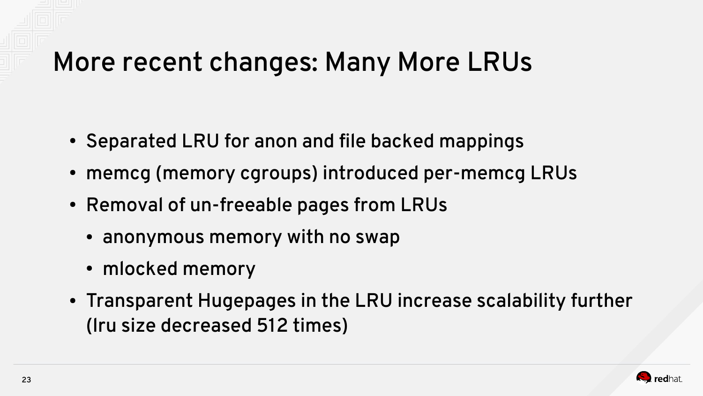#### More recent changes: Many More LRUs

- Separated LRU for anon and file backed mappings
- memcg (memory cgroups) introduced per-memcg LRUs
- Removal of un-freeable pages from LRUs
	- anonymous memory with no swap
	- mlocked memory
- Transparent Hugepages in the LRU increase scalability further (lru size decreased 512 times)

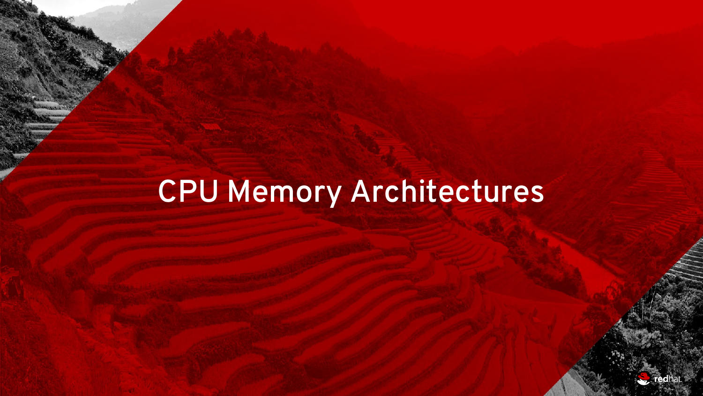# CPU Memory Architectures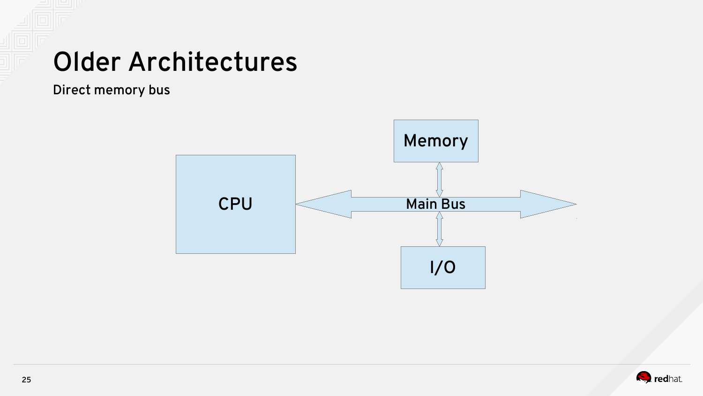#### Older Architectures

Direct memory bus



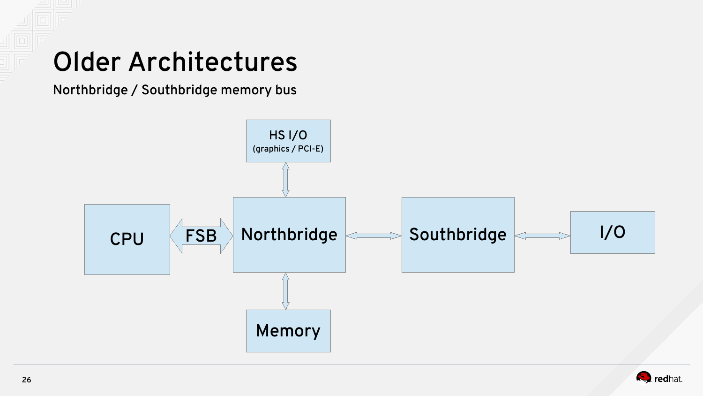#### Older Architectures

Northbridge / Southbridge memory bus



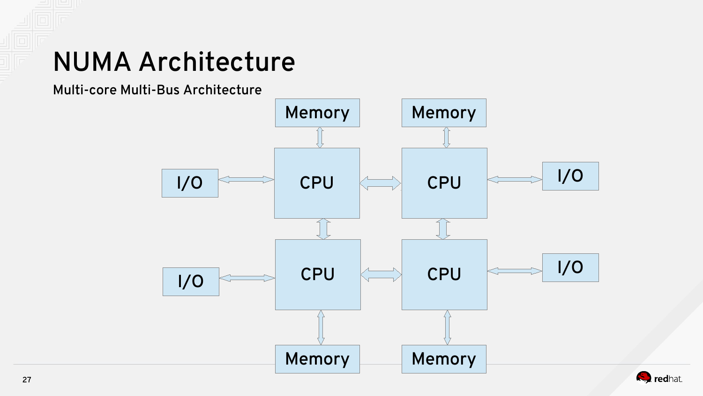#### NUMA Architecture

Multi-core Multi-Bus Architecture



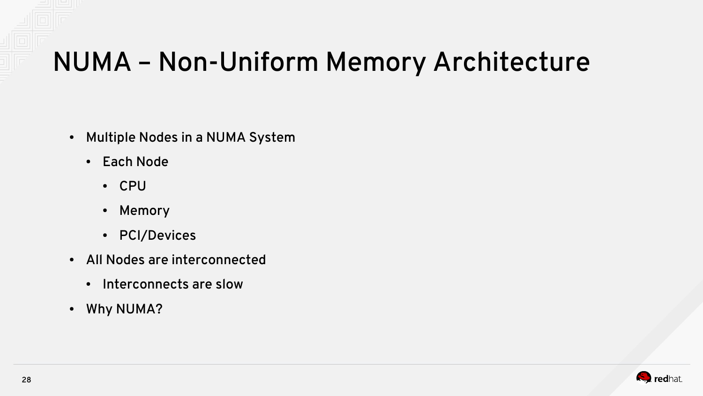#### NUMA – Non-Uniform Memory Architecture

- Multiple Nodes in a NUMA System
	- Each Node
		- CPU
		- Memory
		- PCI/Devices
- All Nodes are interconnected
	- Interconnects are slow
- Why NUMA?

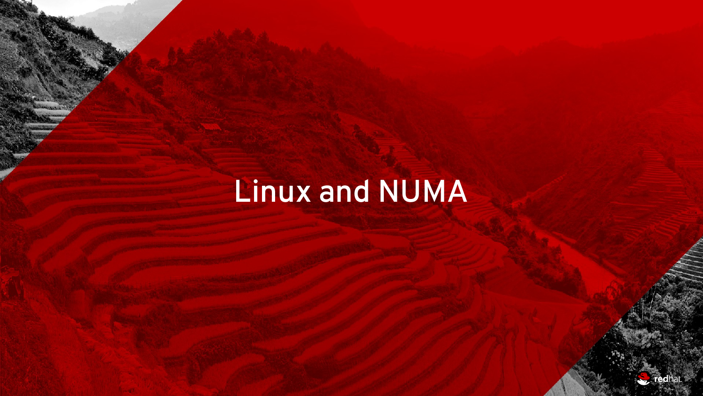# Linux and NUMA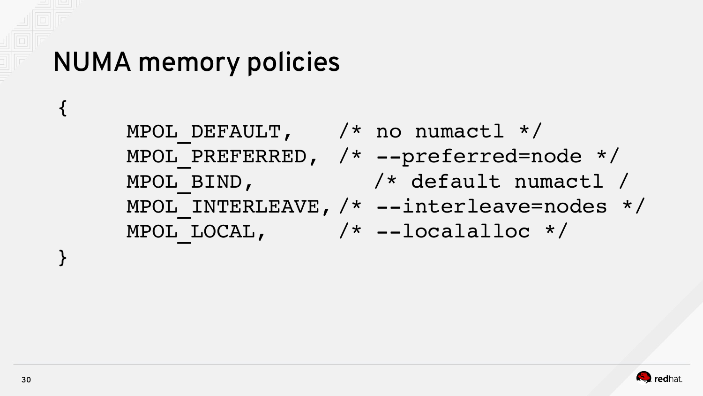#### NUMA memory policies

MPOL DEFAULT,  $\frac{1}{2}$   $\frac{1}{2}$  no numactl  $\frac{*}{2}$ MPOL PREFERRED,  $/*$  --preferred=node \*/ MPOL BIND,  $/*$  default numactl / MPOL INTERLEAVE, /\* --interleave=nodes \*/ MPOL LOCAL,  $/*$  --localalloc \*/



{

}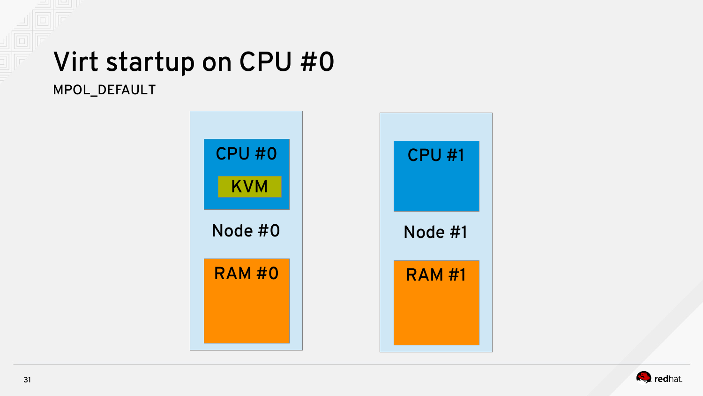#### Virt startup on CPU #0 MPOL\_DEFAULT

Node #0 RAM #0 CPU #0 Node #1 RAM #1 CPU #1 KVM

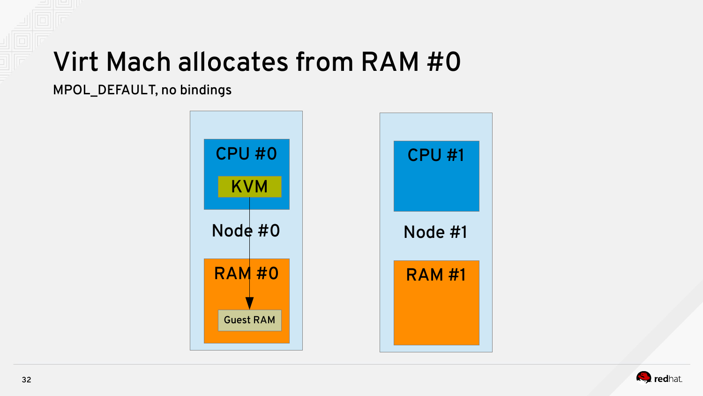#### Virt Mach allocates from RAM #0

MPOL\_DEFAULT, no bindings



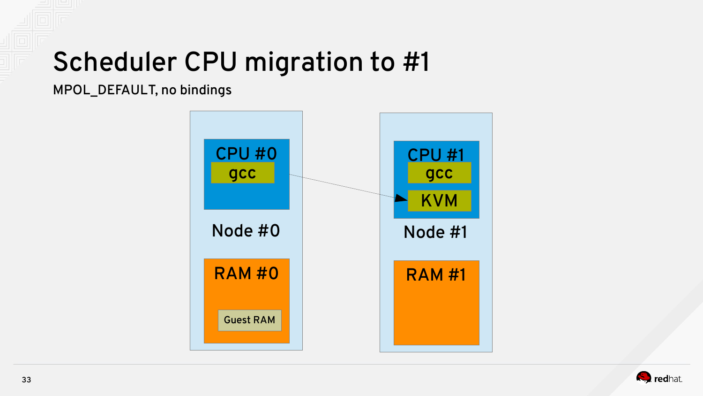#### Scheduler CPU migration to #1

MPOL\_DEFAULT, no bindings



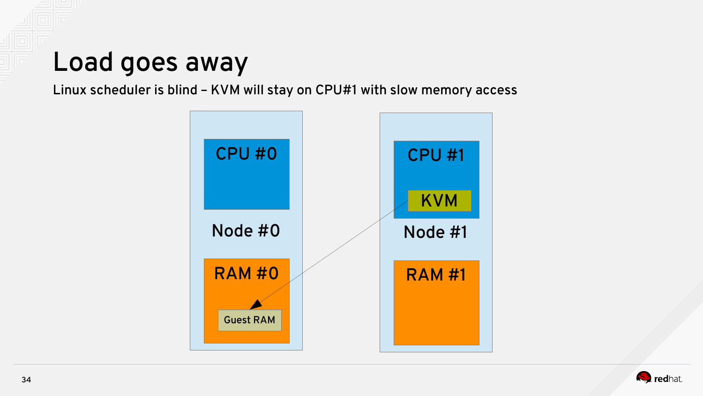#### Load goes away

#### Linux scheduler is blind – KVM will stay on CPU#1 with slow memory access



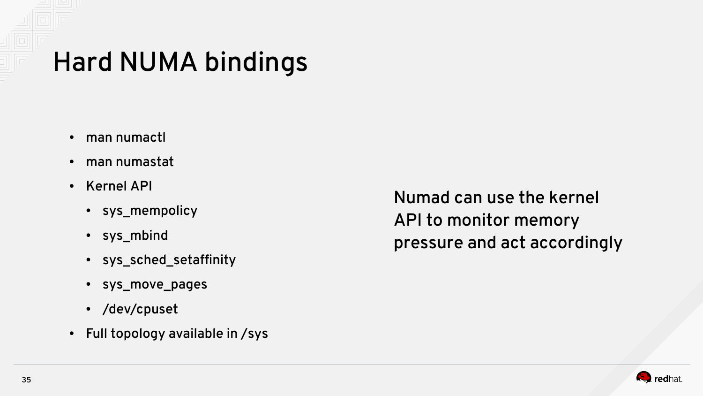### Hard NUMA bindings

- man numactl
- man numastat
- Kernel API
	- sys\_mempolicy
	- $\cdot$  sys\_mbind
	- sys\_sched\_setaffinity
	- sys\_move\_pages
	- /dev/cpuset
- $\cdot$  Full topology available in /sys

Numad can use the kernel API to monitor memory pressure and act accordingly

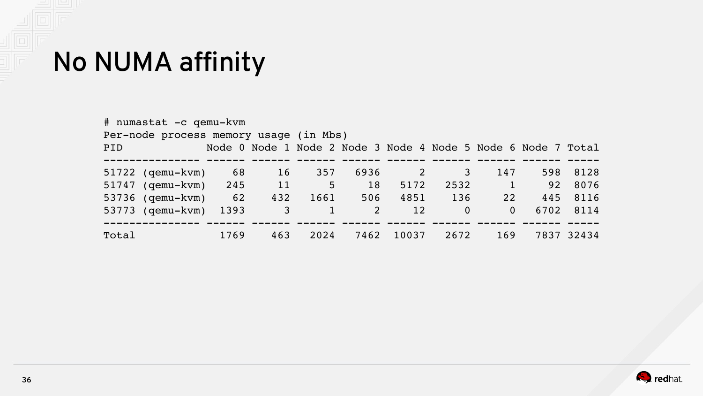#### No NUMA affinity

| # numastat -c qemu-kvm<br>Per-node process memory usage (in Mbs) |                       |      |                |              |      |          |          |                                                               |      |            |
|------------------------------------------------------------------|-----------------------|------|----------------|--------------|------|----------|----------|---------------------------------------------------------------|------|------------|
| PID                                                              |                       |      |                |              |      |          |          | Node 0 Node 1 Node 2 Node 3 Node 4 Node 5 Node 6 Node 7 Total |      |            |
|                                                                  | $51722$ (qemu-kvm)    | 68   | 16             | 357          | 6936 | $\sim$ 2 | 3        | 147                                                           | 598  | 8128       |
|                                                                  | 51747 (gemu-kvm) 245  |      | 11             | 5            | 18   | 5172     | 2532     | $\sqrt{1}$                                                    | 92   | 8076       |
|                                                                  | 53736 (qemu-kvm) 62   |      | 432            | 1661         | 506  | 4851     | 136      | 22                                                            | 445  | 8116       |
|                                                                  | 53773 (gemu-kvm) 1393 |      | 3 <sup>7</sup> | $\mathbf{1}$ | 2    | 12       | $\Omega$ | $\Omega$                                                      | 6702 | 8114       |
| Total                                                            |                       | 1769 | 463            | 2024         | 7462 | 10037    | 2672     | 169                                                           |      | 7837 32434 |

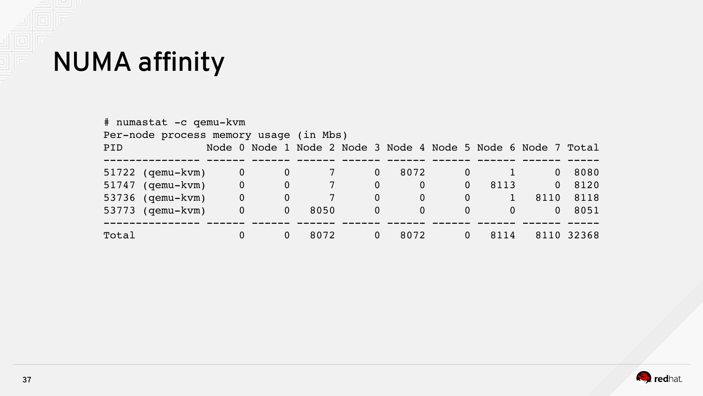

| # numastat -c qemu-kvm<br>Per-node process memory usage (in Mbs) |                          |              |                 |              |                                                               |                |          |              |            |
|------------------------------------------------------------------|--------------------------|--------------|-----------------|--------------|---------------------------------------------------------------|----------------|----------|--------------|------------|
| PID                                                              |                          |              |                 |              | Node 0 Node 1 Node 2 Node 3 Node 4 Node 5 Node 6 Node 7 Total |                |          |              |            |
| 51722 (qemu-kvm)                                                 | $\mathbf 0$              | $\bf{0}$     |                 | $\mathbf{0}$ | 8072                                                          | $\overline{0}$ |          | $\Omega$     | 8080       |
| $51747$ (qemu-kvm)                                               | $\overline{\phantom{0}}$ | $\mathbf{0}$ |                 | $\mathbf{0}$ | $\mathbf 0$                                                   | $\Omega$       | 8113     | $\mathbf{0}$ | 8120       |
| 53736 (qemu-kvm)                                                 | $\mathbf 0$              | 0            | $7\phantom{.0}$ | $\mathbf{0}$ | $\mathbf 0$                                                   | $\Omega$       |          | 8110         | 8118       |
| 53773 (qemu-kvm)                                                 | $\mathbf{0}$             | $\mathbf{0}$ | 8050            | $\mathbf{0}$ | $\mathbf{0}$                                                  | $\Omega$       | $\Omega$ | $\Omega$     | 8051       |
| Total                                                            | 0                        | 0            | 8072            | $\mathbf{0}$ | 8072                                                          | 0              | 8114     |              | 8110 32368 |

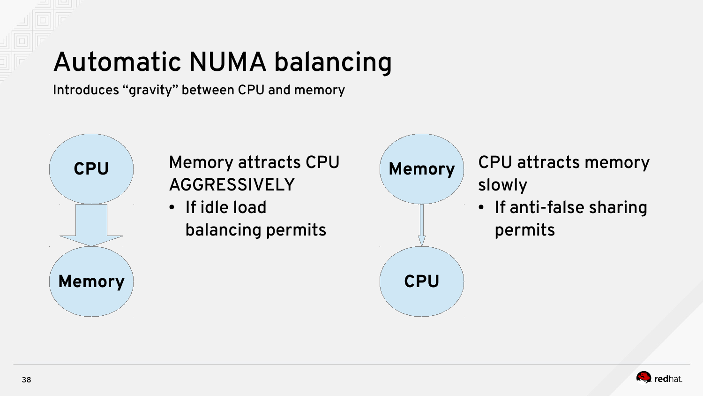## Automatic NUMA balancing

Introduces "gravity" between CPU and memory



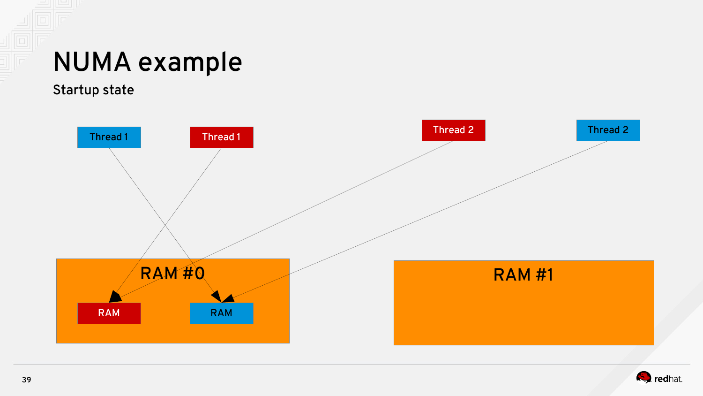#### NUMA example

Startup state



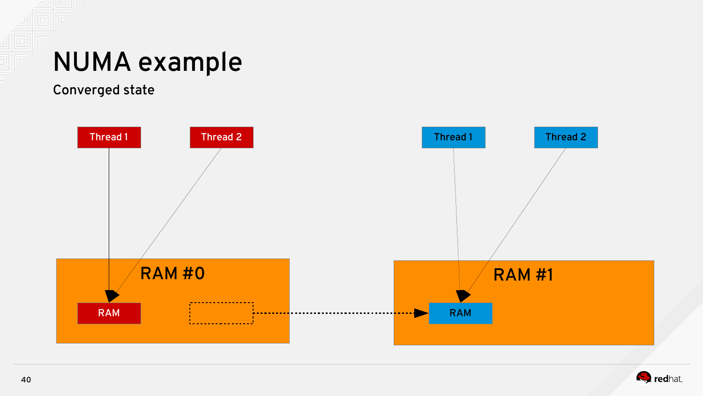#### NUMA example

Converged state



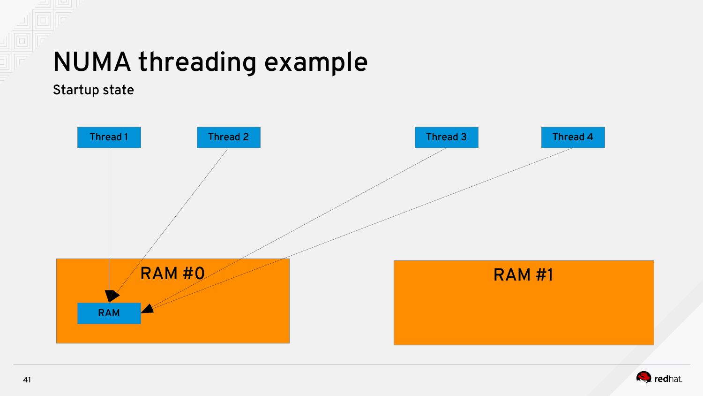#### NUMA threading example

Startup state



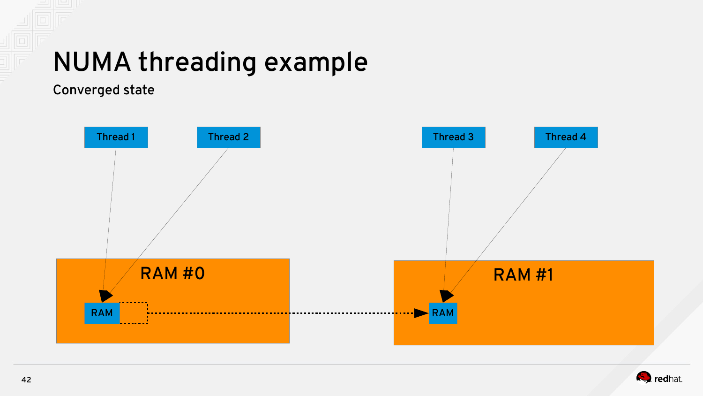#### NUMA threading example

Converged state



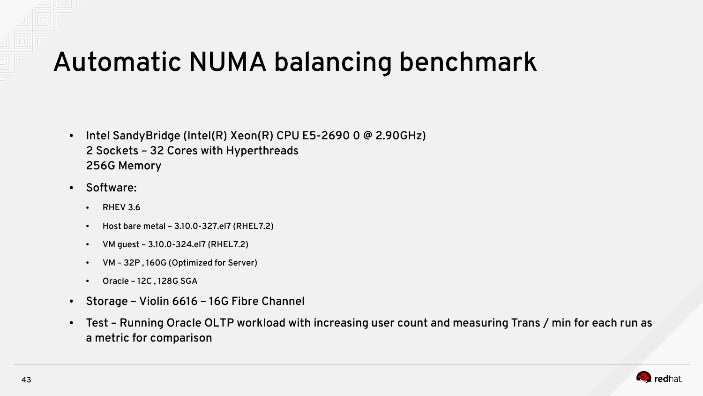#### Automatic NUMA balancing benchmark

- Intel SandyBridge (Intel(R) Xeon(R) CPU E5-2690 0  $@$  2.90GHz) 2 Sockets – 32 Cores with Hyperthreads 256G Memory
- Software:
	- $\cdot$  RHFV 3.6
	- Host bare metal 3.10.0-327.el7 (RHEL7.2)
	- VM guest 3.10.0-324.el7 (RHEL7.2)
	- VM 32P, 160G (Optimized for Server)
	- $\cdot$  Oracle 12C, 128G SGA
- Storage Violin 6616 16G Fibre Channel
- Test Running Oracle OLTP workload with increasing user count and measuring Trans / min for each run as a metric for comparison

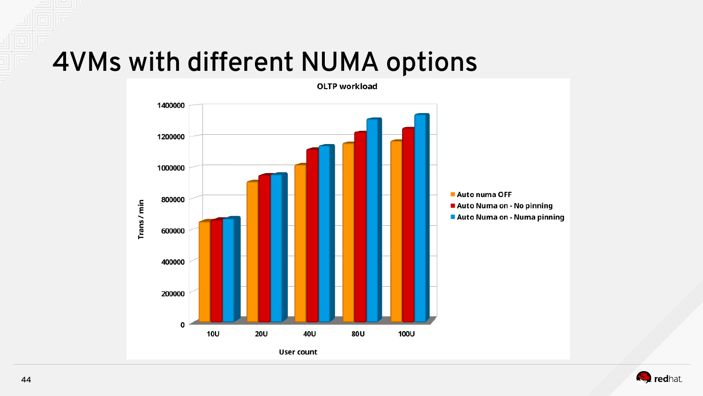#### 4VMs with different NUMA options



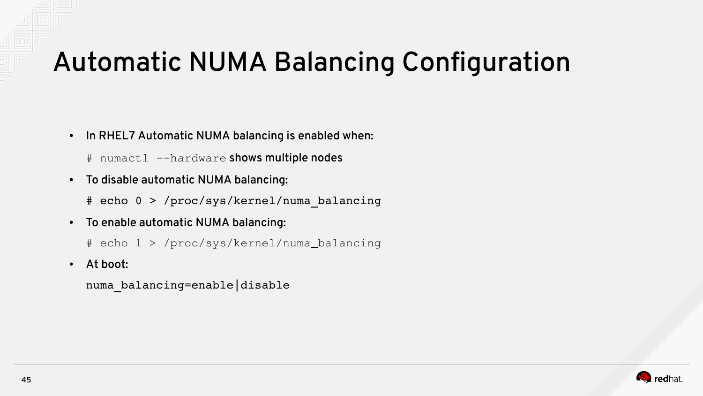### Automatic NUMA Balancing Configuration

- In RHEL7 Automatic NUMA balancing is enabled when:
	- # numactl --hardware shows multiple nodes
- To disable automatic NUMA balancing:
	- # echo 0 > /proc/sys/kernel/numa\_balancing
- To enable automatic NUMA balancing:
	- # echo 1 > /proc/sys/kernel/numa\_balancing
- At boot:

numa\_balancing=enable|disable

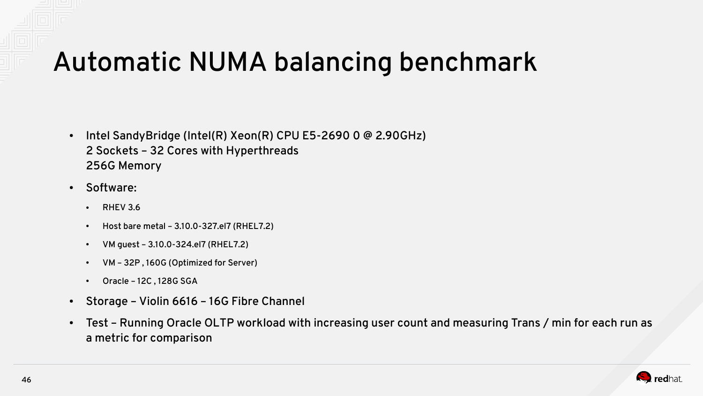#### Automatic NUMA balancing benchmark

- Intel SandyBridge (Intel(R) Xeon(R) CPU E5-2690 0  $@$  2.90GHz) 2 Sockets – 32 Cores with Hyperthreads 256G Memory
- Software:
	- $\cdot$  RHFV 3.6
	- Host bare metal 3.10.0-327.el7 (RHEL7.2)
	- VM guest 3.10.0-324.el7 (RHEL7.2)
	- VM 32P, 160G (Optimized for Server)
	- $\cdot$  Oracle 12C, 128G SGA
- Storage Violin 6616 16G Fibre Channel
- Test Running Oracle OLTP workload with increasing user count and measuring Trans / min for each run as a metric for comparison

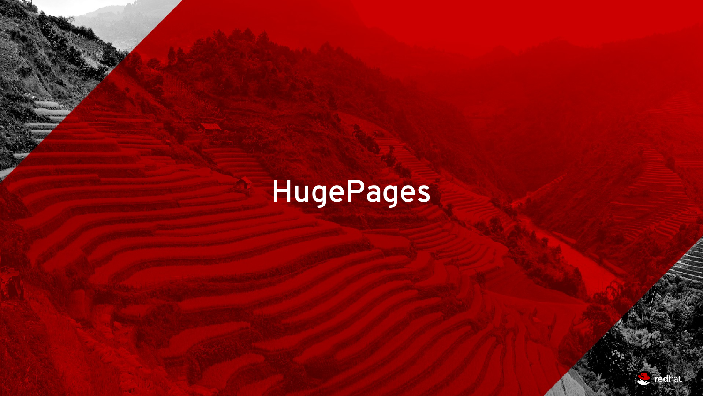# HugePages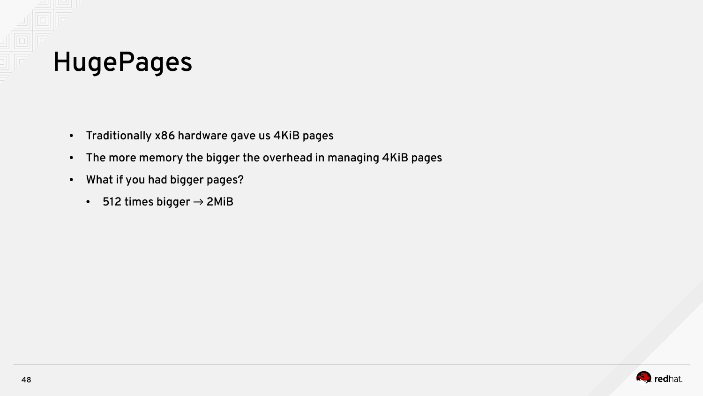

- Traditionally x86 hardware gave us 4KiB pages
- The more memory the bigger the overhead in managing 4KiB pages
- What if you had bigger pages?
	- 512 times bigger  $\rightarrow$  2MiB

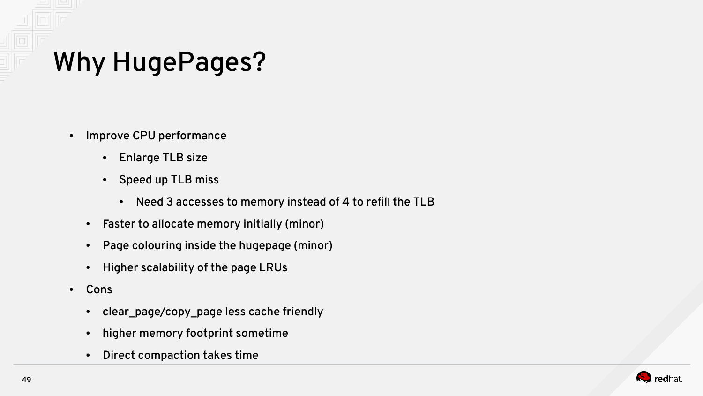## Why HugePages?

- Improve CPU performance
	- Enlarge TLB size
	- Speed up TLB miss
		- Need 3 accesses to memory instead of 4 to refill the TLB
	- Faster to allocate memory initially (minor)
	- Page colouring inside the hugepage (minor)
	- Higher scalability of the page LRUs
- Cons
	- clear\_page/copy\_page less cache friendly
	- higher memory footprint sometime
	- Direct compaction takes time

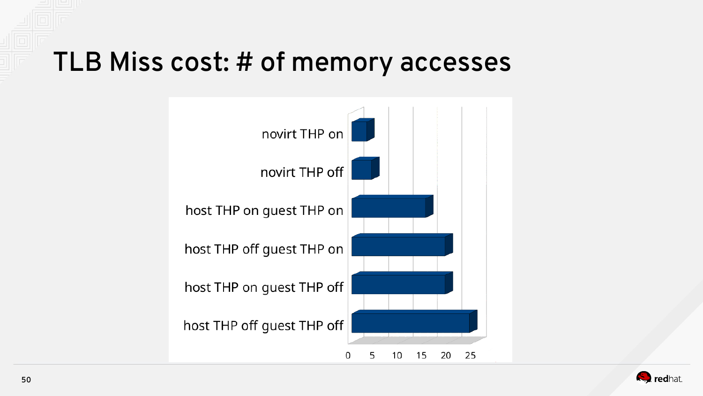#### TLB Miss cost: # of memory accesses



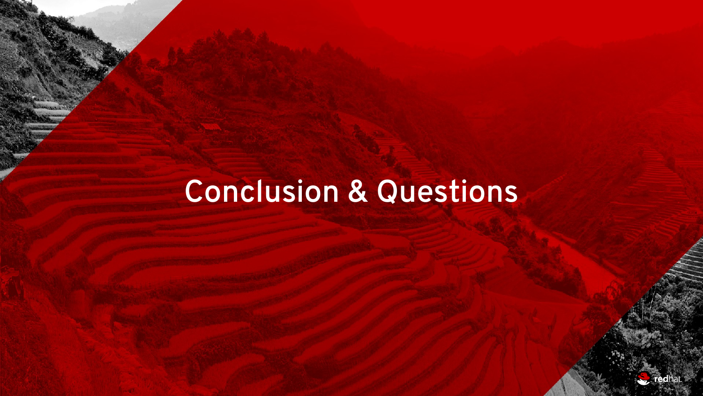## Conclusion & Questions

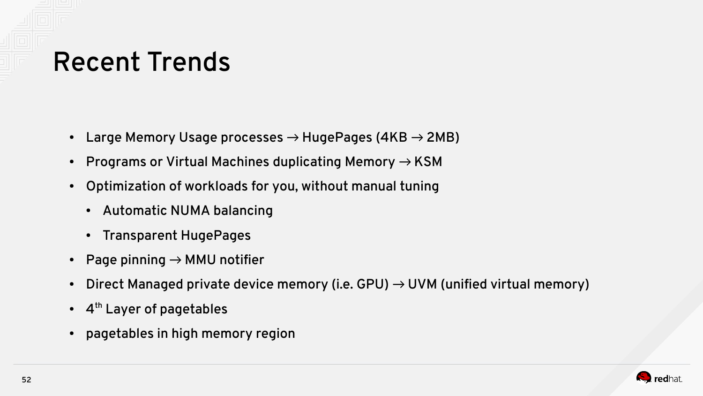### Recent Trends

- Large Memory Usage processes  $\rightarrow$  HugePages (4KB  $\rightarrow$  2MB)
- Programs or Virtual Machines duplicating Memory  $\rightarrow$  KSM
- Optimization of workloads for you, without manual tuning
	- Automatic NUMA balancing
	- Transparent HugePages
- Page pinning  $\rightarrow$  MMU notifier
- Direct Managed private device memory (i.e. GPU)  $\rightarrow$  UVM (unified virtual memory)
- $4^{\text{th}}$  Layer of pagetables
- pagetables in high memory region